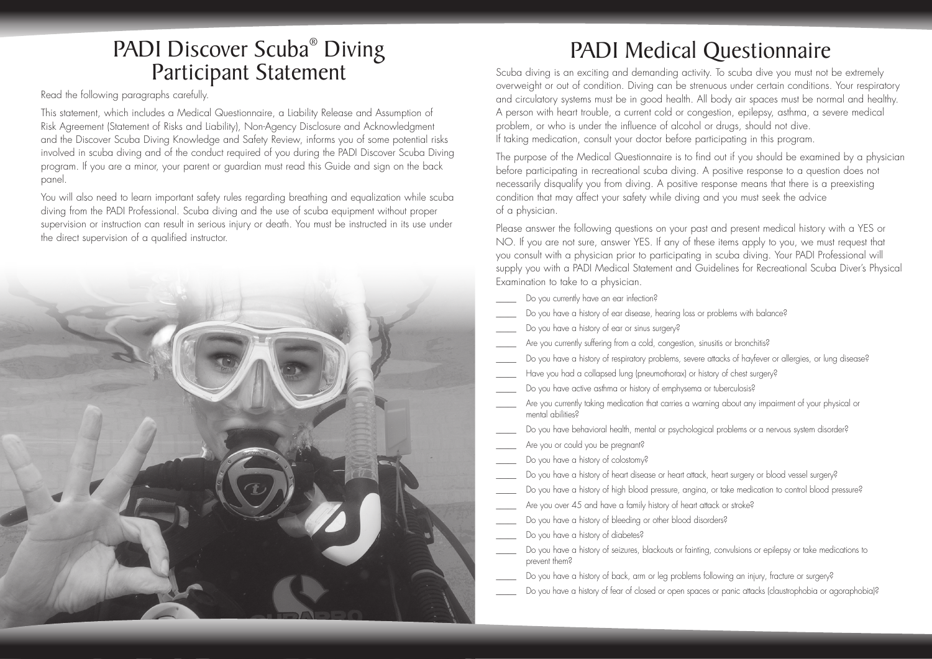### PADI Discover Scuba<sup>®</sup> Diving Participant Statement

Read the following paragraphs carefully.

This statement, which includes a Medical Questionnaire, a Liability Release and Assumption of Risk Agreement (Statement of Risks and Liability), Non-Agency Disclosure and Acknowledgment and the Discover Scuba Diving Knowledge and Safety Review, informs you of some potential risks involved in scuba diving and of the conduct required of you during the PADI Discover Scuba Diving program. If you are a minor, your parent or guardian must read this Guide and sign on the back panel.

You will also need to learn important safety rules regarding breathing and equalization while scuba diving from the PADI Professional. Scuba diving and the use of scuba equipment without proper supervision or instruction can result in serious injury or death. You must be instructed in its use under the direct supervision of a qualified instructor.



# PADI Medical Questionnaire

Scuba diving is an exciting and demanding activity. To scuba dive you must not be extremely overweight or out of condition. Diving can be strenuous under certain conditions. Your respiratory and circulatory systems must be in good health. All body air spaces must be normal and healthy. A person with heart trouble, a current cold or congestion, epilepsy, asthma, a severe medical problem, or who is under the influence of alcohol or drugs, should not dive. If taking medication, consult your doctor before participating in this program.

The purpose of the Medical Questionnaire is to find out if you should be examined by a physician before participating in recreational scuba diving. A positive response to a question does not necessarily disqualify you from diving. A positive response means that there is a preexisting condition that may affect your safety while diving and you must seek the advice of a physician.

Please answer the following questions on your past and present medical history with a YES or NO. If you are not sure, answer YES. If any of these items apply to you, we must request that you consult with a physician prior to participating in scuba diving. Your PADI Professional will supply you with a PADI Medical Statement and Guidelines for Recreational Scuba Diver's Physical Examination to take to a physician.

- Do you currently have an ear infection?
- Do you have a history of ear disease, hearing loss or problems with balance?
- Do you have a history of ear or sinus surgery?
- Are you currently suffering from a cold, congestion, sinusitis or bronchitis?
- Do you have a history of respiratory problems, severe attacks of hayfever or allergies, or lung disease?
- Have you had a collapsed lung (pneumothorax) or history of chest surgery?
- Do you have active asthma or history of emphysema or tuberculosis?
- Are you currently taking medication that carries a warning about any impairment of your physical or mental abilities?
- Do you have behavioral health, mental or psychological problems or a nervous system disorder?
- Are you or could you be pregnant?
- Do you have a history of colostomy?
- Do you have a history of heart disease or heart attack, heart surgery or blood vessel surgery?
- Do you have a history of high blood pressure, angina, or take medication to control blood pressure?
- Are you over 45 and have a family history of heart attack or stroke?
- Do you have a history of bleeding or other blood disorders?
- Do you have a history of diabetes?
- Do you have a history of seizures, blackouts or fainting, convulsions or epilepsy or take medications to prevent them?
- Do you have a history of back, arm or leg problems following an injury, fracture or surgery?
- Do you have a history of fear of closed or open spaces or panic attacks (claustrophobia or agoraphobia)?